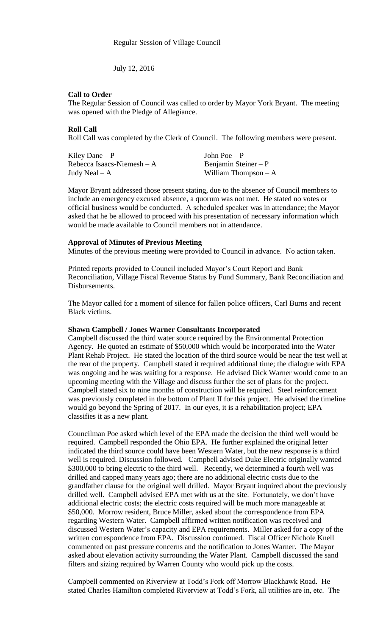July 12, 2016

### **Call to Order**

The Regular Session of Council was called to order by Mayor York Bryant. The meeting was opened with the Pledge of Allegiance.

### **Roll Call**

Roll Call was completed by the Clerk of Council. The following members were present.

| Kiley Dane $-P$             | John Poe $-P$         |
|-----------------------------|-----------------------|
| Rebecca Isaacs-Niemesh $-A$ | Benjamin Steiner $-P$ |
| Judy Neal $- A$             | William Thompson $-A$ |

Mayor Bryant addressed those present stating, due to the absence of Council members to include an emergency excused absence, a quorum was not met. He stated no votes or official business would be conducted. A scheduled speaker was in attendance; the Mayor asked that he be allowed to proceed with his presentation of necessary information which would be made available to Council members not in attendance.

#### **Approval of Minutes of Previous Meeting**

Minutes of the previous meeting were provided to Council in advance. No action taken.

Printed reports provided to Council included Mayor's Court Report and Bank Reconciliation, Village Fiscal Revenue Status by Fund Summary, Bank Reconciliation and Disbursements.

The Mayor called for a moment of silence for fallen police officers, Carl Burns and recent Black victims.

#### **Shawn Campbell / Jones Warner Consultants Incorporated**

Campbell discussed the third water source required by the Environmental Protection Agency. He quoted an estimate of \$50,000 which would be incorporated into the Water Plant Rehab Project. He stated the location of the third source would be near the test well at the rear of the property. Campbell stated it required additional time; the dialogue with EPA was ongoing and he was waiting for a response. He advised Dick Warner would come to an upcoming meeting with the Village and discuss further the set of plans for the project. Campbell stated six to nine months of construction will be required. Steel reinforcement was previously completed in the bottom of Plant II for this project. He advised the timeline would go beyond the Spring of 2017. In our eyes, it is a rehabilitation project; EPA classifies it as a new plant.

Councilman Poe asked which level of the EPA made the decision the third well would be required. Campbell responded the Ohio EPA. He further explained the original letter indicated the third source could have been Western Water, but the new response is a third well is required. Discussion followed. Campbell advised Duke Electric originally wanted \$300,000 to bring electric to the third well. Recently, we determined a fourth well was drilled and capped many years ago; there are no additional electric costs due to the grandfather clause for the original well drilled. Mayor Bryant inquired about the previously drilled well. Campbell advised EPA met with us at the site. Fortunately, we don't have additional electric costs; the electric costs required will be much more manageable at \$50,000. Morrow resident, Bruce Miller, asked about the correspondence from EPA regarding Western Water. Campbell affirmed written notification was received and discussed Western Water's capacity and EPA requirements. Miller asked for a copy of the written correspondence from EPA. Discussion continued. Fiscal Officer Nichole Knell commented on past pressure concerns and the notification to Jones Warner. The Mayor asked about elevation activity surrounding the Water Plant. Campbell discussed the sand filters and sizing required by Warren County who would pick up the costs.

Campbell commented on Riverview at Todd's Fork off Morrow Blackhawk Road. He stated Charles Hamilton completed Riverview at Todd's Fork, all utilities are in, etc. The